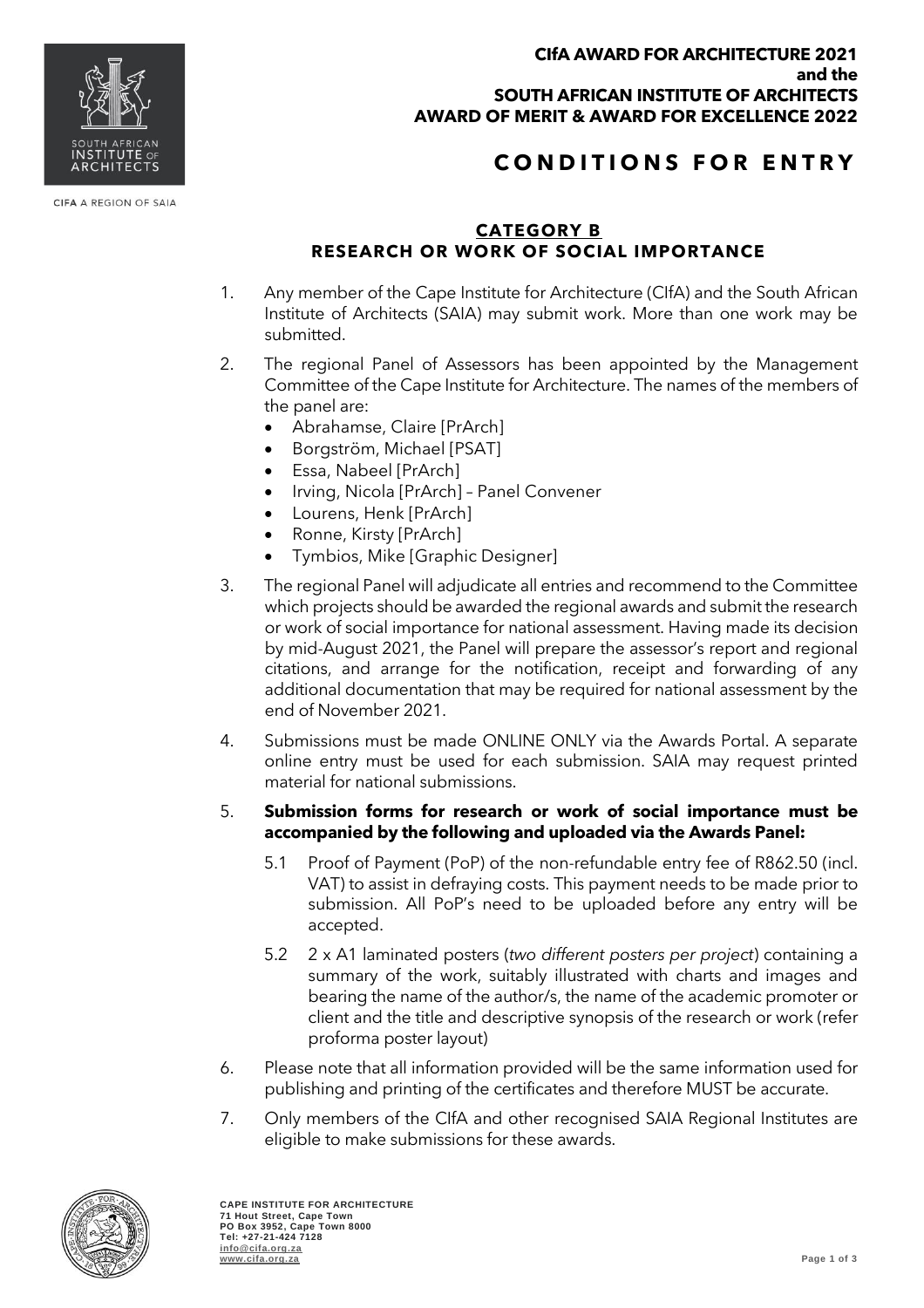

CIFA A REGION OF SAIA

#### **CIfA AWARD FOR ARCHITECTURE 2021 and the SOUTH AFRICAN INSTITUTE OF ARCHITECTS AWARD OF MERIT & AWARD FOR EXCELLENCE 2022**

# **C O N D I T I O N S F O R E N T R Y**

## **CATEGORY B RESEARCH OR WORK OF SOCIAL IMPORTANCE**

- 1. Any member of the Cape Institute for Architecture (CIfA) and the South African Institute of Architects (SAIA) may submit work. More than one work may be submitted.
- 2. The regional Panel of Assessors has been appointed by the Management Committee of the Cape Institute for Architecture. The names of the members of the panel are:
	- Abrahamse, Claire [PrArch]
	- Borgström, Michael [PSAT]
	- Essa, Nabeel [PrArch]
	- Irving, Nicola [PrArch] Panel Convener
	- Lourens, Henk [PrArch]
	- Ronne, Kirsty [PrArch]
	- Tymbios, Mike [Graphic Designer]
- 3. The regional Panel will adjudicate all entries and recommend to the Committee which projects should be awarded the regional awards and submit the research or work of social importance for national assessment. Having made its decision by mid-August 2021, the Panel will prepare the assessor's report and regional citations, and arrange for the notification, receipt and forwarding of any additional documentation that may be required for national assessment by the end of November 2021.
- 4. Submissions must be made ONLINE ONLY via the Awards Portal. A separate online entry must be used for each submission. SAIA may request printed material for national submissions.

### 5. **Submission forms for research or work of social importance must be accompanied by the following and uploaded via the Awards Panel:**

- 5.1 Proof of Payment (PoP) of the non-refundable entry fee of R862.50 (incl. VAT) to assist in defraying costs. This payment needs to be made prior to submission. All PoP's need to be uploaded before any entry will be accepted.
- 5.2 2 x A1 laminated posters (*two different posters per project*) containing a summary of the work, suitably illustrated with charts and images and bearing the name of the author/s, the name of the academic promoter or client and the title and descriptive synopsis of the research or work (refer proforma poster layout)
- 6. Please note that all information provided will be the same information used for publishing and printing of the certificates and therefore MUST be accurate.
- 7. Only members of the CIfA and other recognised SAIA Regional Institutes are eligible to make submissions for these awards.

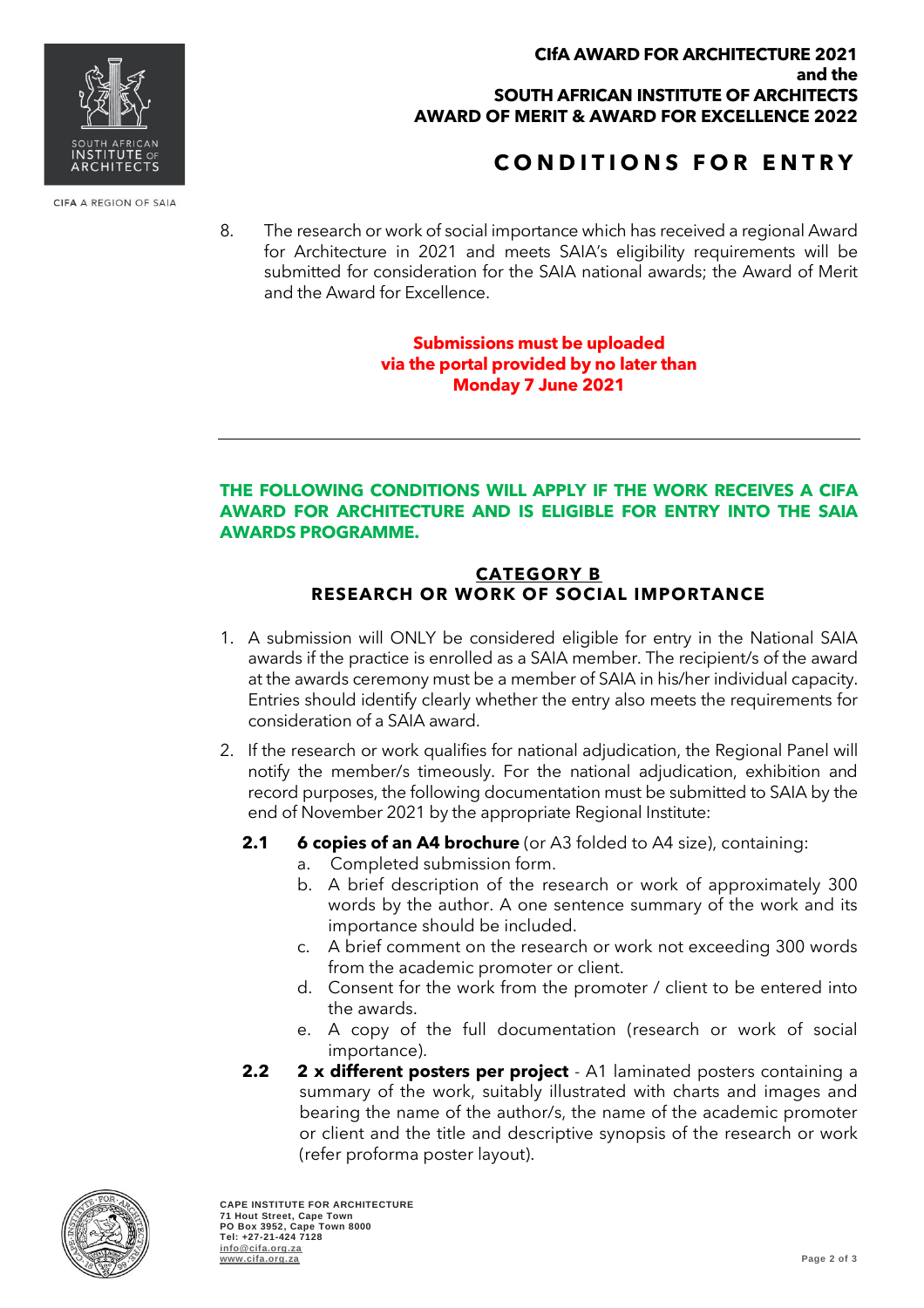#### **CIfA AWARD FOR ARCHITECTURE 2021 and the SOUTH AFRICAN INSTITUTE OF ARCHITECTS AWARD OF MERIT & AWARD FOR EXCELLENCE 2022**

# **C O N D I T I O N S F O R E N T R Y**

8. The research or work of social importance which has received a regional Award for Architecture in 2021 and meets SAIA's eligibility requirements will be submitted for consideration for the SAIA national awards; the Award of Merit and the Award for Excellence.

### **Submissions must be uploaded via the portal provided by no later than Monday 7 June 2021**

### **THE FOLLOWING CONDITIONS WILL APPLY IF THE WORK RECEIVES A CIFA AWARD FOR ARCHITECTURE AND IS ELIGIBLE FOR ENTRY INTO THE SAIA AWARDS PROGRAMME.**

### **CATEGORY B RESEARCH OR WORK OF SOCIAL IMPORTANCE**

- 1. A submission will ONLY be considered eligible for entry in the National SAIA awards if the practice is enrolled as a SAIA member. The recipient/s of the award at the awards ceremony must be a member of SAIA in his/her individual capacity. Entries should identify clearly whether the entry also meets the requirements for consideration of a SAIA award.
- 2. If the research or work qualifies for national adjudication, the Regional Panel will notify the member/s timeously. For the national adjudication, exhibition and record purposes, the following documentation must be submitted to SAIA by the end of November 2021 by the appropriate Regional Institute:
	- **2.1 6 copies of an A4 brochure** (or A3 folded to A4 size), containing:
		- a. Completed submission form.
		- b. A brief description of the research or work of approximately 300 words by the author. A one sentence summary of the work and its importance should be included.
		- c. A brief comment on the research or work not exceeding 300 words from the academic promoter or client.
		- d. Consent for the work from the promoter / client to be entered into the awards.
		- e. A copy of the full documentation (research or work of social importance).
	- **2.2 2 x different posters per project** A1 laminated posters containing a summary of the work, suitably illustrated with charts and images and bearing the name of the author/s, the name of the academic promoter or client and the title and descriptive synopsis of the research or work (refer proforma poster layout).







CIFA A REGION OF SAIA